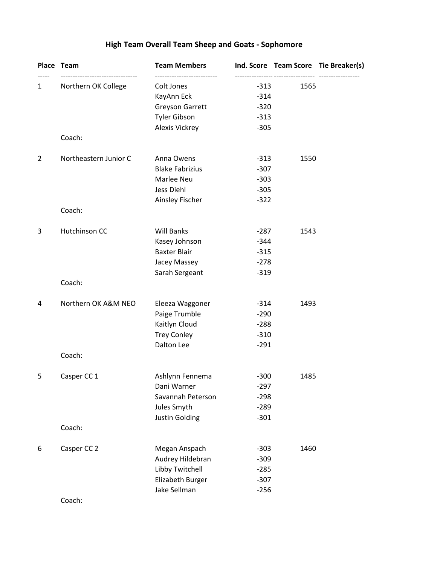# **High Team Overall Team Sheep and Goats - Sophomore**

|                | Place Team                                         | <b>Team Members</b>                                    |                  |      | Ind. Score Team Score Tie Breaker(s) |
|----------------|----------------------------------------------------|--------------------------------------------------------|------------------|------|--------------------------------------|
| 1              | ---------------------------<br>Northern OK College | --------------------------<br>Colt Jones<br>KayAnn Eck | $-313$<br>$-314$ | 1565 |                                      |
|                |                                                    | Greyson Garrett                                        | $-320$           |      |                                      |
|                |                                                    | <b>Tyler Gibson</b>                                    | $-313$           |      |                                      |
|                |                                                    | Alexis Vickrey                                         | $-305$           |      |                                      |
|                | Coach:                                             |                                                        |                  |      |                                      |
| $\overline{2}$ | Northeastern Junior C                              | Anna Owens                                             | $-313$           | 1550 |                                      |
|                |                                                    | <b>Blake Fabrizius</b>                                 | $-307$           |      |                                      |
|                |                                                    | Marlee Neu                                             | $-303$           |      |                                      |
|                |                                                    | Jess Diehl                                             | $-305$           |      |                                      |
|                | Coach:                                             | Ainsley Fischer                                        | $-322$           |      |                                      |
|                |                                                    |                                                        |                  |      |                                      |
| 3              | Hutchinson CC                                      | <b>Will Banks</b>                                      | $-287$           | 1543 |                                      |
|                |                                                    | Kasey Johnson                                          | $-344$           |      |                                      |
|                |                                                    | <b>Baxter Blair</b>                                    | $-315$           |      |                                      |
|                |                                                    | Jacey Massey                                           | $-278$           |      |                                      |
|                | Coach:                                             | Sarah Sergeant                                         | $-319$           |      |                                      |
|                |                                                    |                                                        |                  |      |                                      |
| 4              | Northern OK A&M NEO                                | Eleeza Waggoner<br>Paige Trumble                       | $-314$<br>$-290$ | 1493 |                                      |
|                |                                                    | Kaitlyn Cloud                                          | $-288$           |      |                                      |
|                |                                                    | <b>Trey Conley</b>                                     | $-310$           |      |                                      |
|                |                                                    | Dalton Lee                                             | $-291$           |      |                                      |
|                | Coach:                                             |                                                        |                  |      |                                      |
| 5              | Casper CC 1                                        | Ashlynn Fennema                                        | $-300$           | 1485 |                                      |
|                |                                                    | Dani Warner                                            | $-297$           |      |                                      |
|                |                                                    | Savannah Peterson                                      | $-298$           |      |                                      |
|                |                                                    | Jules Smyth                                            | $-289$           |      |                                      |
|                |                                                    | Justin Golding                                         | $-301$           |      |                                      |
|                | Coach:                                             |                                                        |                  |      |                                      |
| 6              | Casper CC 2                                        | Megan Anspach                                          | $-303$           | 1460 |                                      |
|                |                                                    | Audrey Hildebran                                       | $-309$           |      |                                      |
|                |                                                    | Libby Twitchell                                        | $-285$           |      |                                      |
|                |                                                    | Elizabeth Burger                                       | $-307$           |      |                                      |
|                |                                                    | Jake Sellman                                           | $-256$           |      |                                      |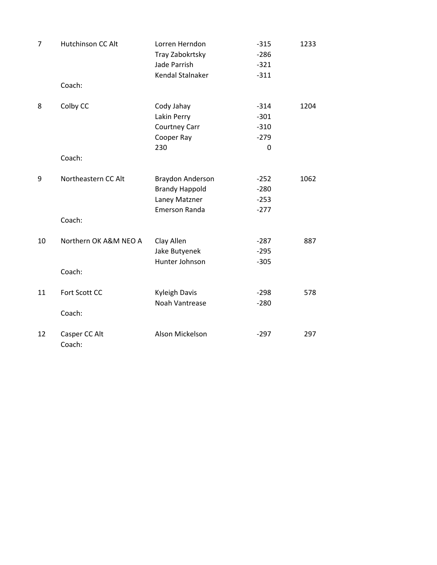| $\overline{7}$ | Hutchinson CC Alt               | Lorren Herndon<br>Tray Zabokrtsky<br>Jade Parrish<br>Kendal Stalnaker       | $-315$<br>$-286$<br>$-321$<br>$-311$      | 1233 |
|----------------|---------------------------------|-----------------------------------------------------------------------------|-------------------------------------------|------|
|                | Coach:                          |                                                                             |                                           |      |
| 8              | Colby CC<br>Coach:              | Cody Jahay<br>Lakin Perry<br><b>Courtney Carr</b><br>Cooper Ray<br>230      | $-314$<br>$-301$<br>$-310$<br>$-279$<br>0 | 1204 |
| 9              | Northeastern CC Alt<br>Coach:   | Braydon Anderson<br><b>Brandy Happold</b><br>Laney Matzner<br>Emerson Randa | $-252$<br>$-280$<br>$-253$<br>$-277$      | 1062 |
| 10             | Northern OK A&M NEO A<br>Coach: | Clay Allen<br>Jake Butyenek<br>Hunter Johnson                               | $-287$<br>$-295$<br>$-305$                | 887  |
| 11             | Fort Scott CC<br>Coach:         | <b>Kyleigh Davis</b><br>Noah Vantrease                                      | $-298$<br>$-280$                          | 578  |
| 12             | Casper CC Alt<br>Coach:         | Alson Mickelson                                                             | $-297$                                    | 297  |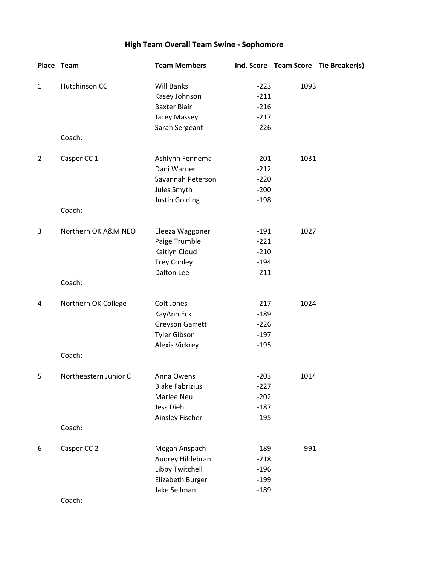# **High Team Overall Team Swine - Sophomore**

|                | Place Team                                | <b>Team Members</b>    |        |      | Ind. Score Team Score Tie Breaker(s) |
|----------------|-------------------------------------------|------------------------|--------|------|--------------------------------------|
| 1              | ------------------------<br>Hutchinson CC | <b>Will Banks</b>      | $-223$ | 1093 |                                      |
|                |                                           | Kasey Johnson          | $-211$ |      |                                      |
|                |                                           | <b>Baxter Blair</b>    | $-216$ |      |                                      |
|                |                                           | Jacey Massey           | $-217$ |      |                                      |
|                | Coach:                                    | Sarah Sergeant         | $-226$ |      |                                      |
| $\overline{2}$ | Casper CC 1                               | Ashlynn Fennema        | $-201$ | 1031 |                                      |
|                |                                           | Dani Warner            | $-212$ |      |                                      |
|                |                                           | Savannah Peterson      | $-220$ |      |                                      |
|                |                                           | Jules Smyth            | $-200$ |      |                                      |
|                |                                           | Justin Golding         | $-198$ |      |                                      |
|                | Coach:                                    |                        |        |      |                                      |
| 3              | Northern OK A&M NEO                       | Eleeza Waggoner        | $-191$ | 1027 |                                      |
|                |                                           | Paige Trumble          | $-221$ |      |                                      |
|                |                                           | Kaitlyn Cloud          | $-210$ |      |                                      |
|                |                                           | <b>Trey Conley</b>     | $-194$ |      |                                      |
|                | Coach:                                    | Dalton Lee             | $-211$ |      |                                      |
| 4              | Northern OK College                       | Colt Jones             | $-217$ | 1024 |                                      |
|                |                                           | KayAnn Eck             | $-189$ |      |                                      |
|                |                                           | <b>Greyson Garrett</b> | $-226$ |      |                                      |
|                |                                           | <b>Tyler Gibson</b>    | $-197$ |      |                                      |
|                |                                           | Alexis Vickrey         | $-195$ |      |                                      |
|                | Coach:                                    |                        |        |      |                                      |
| 5              | Northeastern Junior C                     | Anna Owens             | $-203$ | 1014 |                                      |
|                |                                           | <b>Blake Fabrizius</b> | $-227$ |      |                                      |
|                |                                           | Marlee Neu             | $-202$ |      |                                      |
|                |                                           | Jess Diehl             | $-187$ |      |                                      |
|                | Coach:                                    | Ainsley Fischer        | $-195$ |      |                                      |
|                |                                           |                        |        |      |                                      |
| 6              | Casper CC 2                               | Megan Anspach          | $-189$ | 991  |                                      |
|                |                                           | Audrey Hildebran       | $-218$ |      |                                      |
|                |                                           | Libby Twitchell        | $-196$ |      |                                      |
|                |                                           | Elizabeth Burger       | $-199$ |      |                                      |
|                |                                           | Jake Sellman           | $-189$ |      |                                      |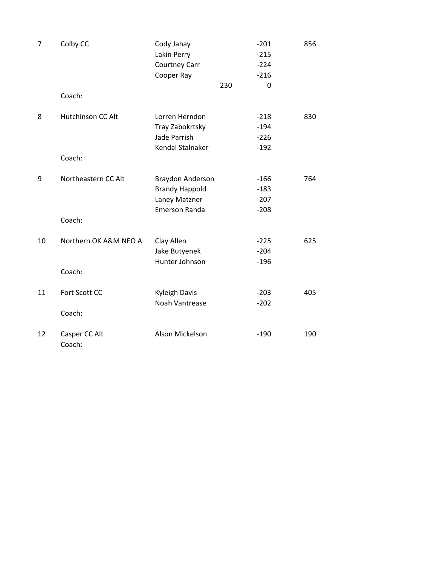| $\overline{7}$ | Colby CC                 | Cody Jahay            |     | $-201$ | 856 |
|----------------|--------------------------|-----------------------|-----|--------|-----|
|                |                          | Lakin Perry           |     | $-215$ |     |
|                |                          | Courtney Carr         |     | $-224$ |     |
|                |                          | Cooper Ray            |     | $-216$ |     |
|                |                          |                       | 230 | 0      |     |
|                | Coach:                   |                       |     |        |     |
| 8              | <b>Hutchinson CC Alt</b> | Lorren Herndon        |     | $-218$ | 830 |
|                |                          | Tray Zabokrtsky       |     | $-194$ |     |
|                |                          | Jade Parrish          |     | $-226$ |     |
|                |                          | Kendal Stalnaker      |     | $-192$ |     |
|                | Coach:                   |                       |     |        |     |
| 9              | Northeastern CC Alt      | Braydon Anderson      |     | $-166$ | 764 |
|                |                          | <b>Brandy Happold</b> |     | $-183$ |     |
|                |                          | Laney Matzner         |     | $-207$ |     |
|                |                          | <b>Emerson Randa</b>  |     | $-208$ |     |
|                | Coach:                   |                       |     |        |     |
| 10             | Northern OK A&M NEO A    | Clay Allen            |     | $-225$ | 625 |
|                |                          | Jake Butyenek         |     | $-204$ |     |
|                |                          | Hunter Johnson        |     | $-196$ |     |
|                | Coach:                   |                       |     |        |     |
| 11             | Fort Scott CC            | <b>Kyleigh Davis</b>  |     | $-203$ | 405 |
|                |                          | Noah Vantrease        |     | $-202$ |     |
|                | Coach:                   |                       |     |        |     |
| 12             | Casper CC Alt<br>Coach:  | Alson Mickelson       |     | $-190$ | 190 |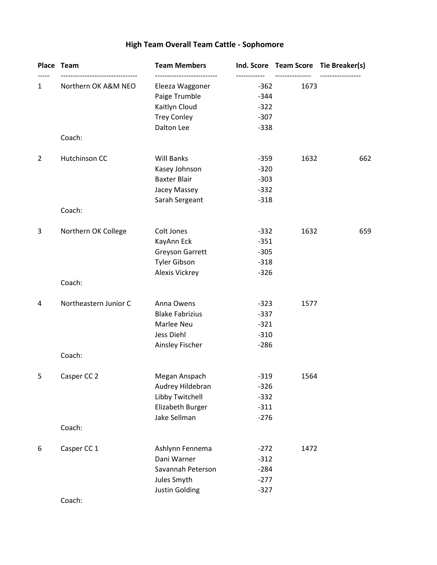# **High Team Overall Team Cattle - Sophomore**

|                | Place Team            | <b>Team Members</b>                 |                                |      | Ind. Score Team Score Tie Breaker(s) |
|----------------|-----------------------|-------------------------------------|--------------------------------|------|--------------------------------------|
| 1              | Northern OK A&M NEO   | Eleeza Waggoner<br>Paige Trumble    | ----------<br>$-362$<br>$-344$ | 1673 |                                      |
|                |                       | Kaitlyn Cloud<br><b>Trey Conley</b> | $-322$<br>$-307$               |      |                                      |
|                |                       | Dalton Lee                          | $-338$                         |      |                                      |
|                | Coach:                |                                     |                                |      |                                      |
| $\overline{2}$ | Hutchinson CC         | <b>Will Banks</b>                   | $-359$                         | 1632 | 662                                  |
|                |                       | Kasey Johnson                       | $-320$                         |      |                                      |
|                |                       | <b>Baxter Blair</b>                 | $-303$                         |      |                                      |
|                |                       | Jacey Massey                        | $-332$                         |      |                                      |
|                | Coach:                | Sarah Sergeant                      | $-318$                         |      |                                      |
| 3              | Northern OK College   | Colt Jones                          | $-332$                         | 1632 | 659                                  |
|                |                       | KayAnn Eck                          | $-351$                         |      |                                      |
|                |                       | <b>Greyson Garrett</b>              | $-305$                         |      |                                      |
|                |                       | <b>Tyler Gibson</b>                 | $-318$                         |      |                                      |
|                |                       | <b>Alexis Vickrey</b>               | $-326$                         |      |                                      |
|                | Coach:                |                                     |                                |      |                                      |
| 4              | Northeastern Junior C | Anna Owens                          | $-323$                         | 1577 |                                      |
|                |                       | <b>Blake Fabrizius</b>              | $-337$                         |      |                                      |
|                |                       | Marlee Neu                          | $-321$                         |      |                                      |
|                |                       | Jess Diehl<br>Ainsley Fischer       | $-310$<br>$-286$               |      |                                      |
|                | Coach:                |                                     |                                |      |                                      |
| 5              | Casper CC 2           | Megan Anspach                       | $-319$                         | 1564 |                                      |
|                |                       | Audrey Hildebran                    | $-326$                         |      |                                      |
|                |                       | Libby Twitchell                     | $-332$                         |      |                                      |
|                |                       | Elizabeth Burger                    | $-311$                         |      |                                      |
|                | Coach:                | Jake Sellman                        | $-276$                         |      |                                      |
| 6              | Casper CC 1           | Ashlynn Fennema                     | $-272$                         | 1472 |                                      |
|                |                       | Dani Warner                         | $-312$                         |      |                                      |
|                |                       | Savannah Peterson                   | $-284$                         |      |                                      |
|                |                       | Jules Smyth                         | $-277$                         |      |                                      |
|                |                       | Justin Golding                      | $-327$                         |      |                                      |
|                |                       |                                     |                                |      |                                      |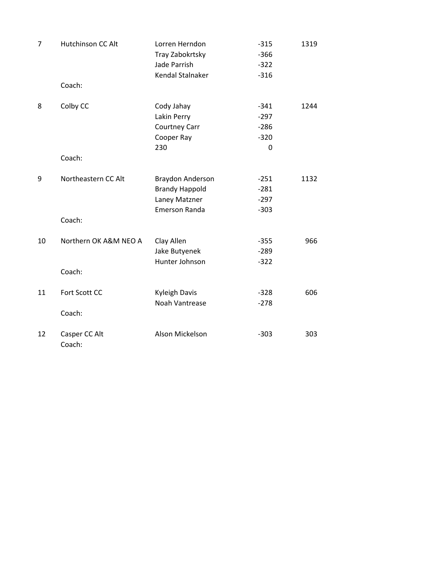| 7  | Hutchinson CC Alt               | Lorren Herndon<br>Tray Zabokrtsky<br>Jade Parrish<br>Kendal Stalnaker              | $-315$<br>$-366$<br>$-322$<br>$-316$                | 1319 |
|----|---------------------------------|------------------------------------------------------------------------------------|-----------------------------------------------------|------|
|    | Coach:                          |                                                                                    |                                                     |      |
| 8  | Colby CC<br>Coach:              | Cody Jahay<br>Lakin Perry<br><b>Courtney Carr</b><br>Cooper Ray<br>230             | $-341$<br>$-297$<br>$-286$<br>$-320$<br>$\mathbf 0$ | 1244 |
| 9  | Northeastern CC Alt<br>Coach:   | Braydon Anderson<br><b>Brandy Happold</b><br>Laney Matzner<br><b>Emerson Randa</b> | $-251$<br>$-281$<br>$-297$<br>$-303$                | 1132 |
| 10 | Northern OK A&M NEO A<br>Coach: | Clay Allen<br>Jake Butyenek<br>Hunter Johnson                                      | $-355$<br>$-289$<br>$-322$                          | 966  |
| 11 | Fort Scott CC<br>Coach:         | <b>Kyleigh Davis</b><br>Noah Vantrease                                             | $-328$<br>$-278$                                    | 606  |
| 12 | Casper CC Alt<br>Coach:         | Alson Mickelson                                                                    | $-303$                                              | 303  |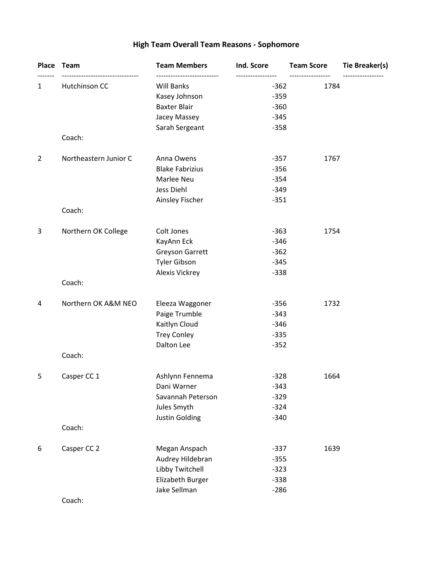# **High Team Overall Team Reasons - Sophomore**

|                | Place Team            | <b>Team Members</b>    | Ind. Score       | <b>Team Score</b> | <b>Tie Breaker(s)</b> |
|----------------|-----------------------|------------------------|------------------|-------------------|-----------------------|
| 1              | Hutchinson CC         | <b>Will Banks</b>      | $-362$           | 1784              |                       |
|                |                       | Kasey Johnson          | $-359$           |                   |                       |
|                |                       | <b>Baxter Blair</b>    | $-360$           |                   |                       |
|                |                       | Jacey Massey           | $-345$           |                   |                       |
|                |                       | Sarah Sergeant         | $-358$           |                   |                       |
|                | Coach:                |                        |                  |                   |                       |
| $\overline{2}$ | Northeastern Junior C | Anna Owens             | $-357$           | 1767              |                       |
|                |                       | <b>Blake Fabrizius</b> | $-356$           |                   |                       |
|                |                       | Marlee Neu             | $-354$           |                   |                       |
|                |                       | Jess Diehl             | $-349$           |                   |                       |
|                | Coach:                | Ainsley Fischer        | $-351$           |                   |                       |
|                |                       |                        |                  |                   |                       |
| 3              | Northern OK College   | Colt Jones             | $-363$           | 1754              |                       |
|                |                       | KayAnn Eck             | $-346$           |                   |                       |
|                |                       | <b>Greyson Garrett</b> | $-362$           |                   |                       |
|                |                       | <b>Tyler Gibson</b>    | $-345$<br>$-338$ |                   |                       |
|                | Coach:                | Alexis Vickrey         |                  |                   |                       |
| 4              | Northern OK A&M NEO   | Eleeza Waggoner        | $-356$           | 1732              |                       |
|                |                       | Paige Trumble          | $-343$           |                   |                       |
|                |                       | Kaitlyn Cloud          | $-346$           |                   |                       |
|                |                       | <b>Trey Conley</b>     | $-335$           |                   |                       |
|                |                       | Dalton Lee             | $-352$           |                   |                       |
|                | Coach:                |                        |                  |                   |                       |
| 5              | Casper CC 1           | Ashlynn Fennema        | $-328$           | 1664              |                       |
|                |                       | Dani Warner            | $-343$           |                   |                       |
|                |                       | Savannah Peterson      | $-329$           |                   |                       |
|                |                       | Jules Smyth            | $-324$           |                   |                       |
|                |                       | <b>Justin Golding</b>  | $-340$           |                   |                       |
|                | Coach:                |                        |                  |                   |                       |
| 6              | Casper CC 2           | Megan Anspach          | $-337$           | 1639              |                       |
|                |                       | Audrey Hildebran       | $-355$           |                   |                       |
|                |                       | Libby Twitchell        | $-323$           |                   |                       |
|                |                       | Elizabeth Burger       | $-338$           |                   |                       |
|                |                       | Jake Sellman           | $-286$           |                   |                       |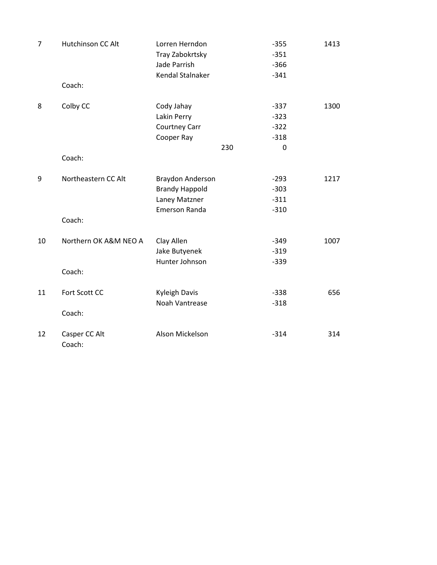| $\overline{7}$ | Hutchinson CC Alt     | Lorren Herndon        |     | $-355$ | 1413 |
|----------------|-----------------------|-----------------------|-----|--------|------|
|                |                       | Tray Zabokrtsky       |     | $-351$ |      |
|                |                       | Jade Parrish          |     | $-366$ |      |
|                |                       | Kendal Stalnaker      |     | $-341$ |      |
|                | Coach:                |                       |     |        |      |
| 8              | Colby CC              | Cody Jahay            |     | $-337$ | 1300 |
|                |                       | Lakin Perry           |     | $-323$ |      |
|                |                       | Courtney Carr         |     | $-322$ |      |
|                |                       | Cooper Ray            |     | $-318$ |      |
|                |                       |                       | 230 | 0      |      |
|                | Coach:                |                       |     |        |      |
| 9              | Northeastern CC Alt   | Braydon Anderson      |     | $-293$ | 1217 |
|                |                       | <b>Brandy Happold</b> |     | $-303$ |      |
|                |                       | Laney Matzner         |     | $-311$ |      |
|                |                       | <b>Emerson Randa</b>  |     | $-310$ |      |
|                | Coach:                |                       |     |        |      |
| 10             | Northern OK A&M NEO A | Clay Allen            |     | $-349$ | 1007 |
|                |                       | Jake Butyenek         |     | $-319$ |      |
|                |                       | Hunter Johnson        |     | $-339$ |      |
|                | Coach:                |                       |     |        |      |
| 11             | Fort Scott CC         | <b>Kyleigh Davis</b>  |     | $-338$ | 656  |
|                |                       | Noah Vantrease        |     | $-318$ |      |
|                | Coach:                |                       |     |        |      |
| 12             | Casper CC Alt         | Alson Mickelson       |     | $-314$ | 314  |
|                | Coach:                |                       |     |        |      |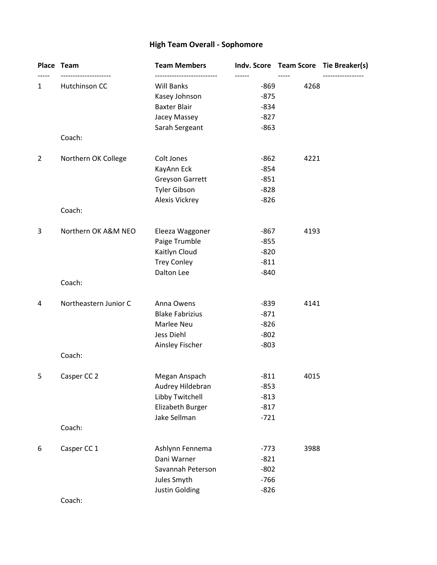# **High Team Overall - Sophomore**

|                | Place Team                       | <b>Team Members</b>    |                  |      | Indv. Score Team Score Tie Breaker(s) |
|----------------|----------------------------------|------------------------|------------------|------|---------------------------------------|
| 1              | ---------------<br>Hutchinson CC | <b>Will Banks</b>      | ------<br>$-869$ | 4268 |                                       |
|                |                                  | Kasey Johnson          | $-875$           |      |                                       |
|                |                                  | <b>Baxter Blair</b>    | $-834$           |      |                                       |
|                |                                  | Jacey Massey           | $-827$           |      |                                       |
|                | Coach:                           | Sarah Sergeant         | $-863$           |      |                                       |
| $\overline{2}$ | Northern OK College              | Colt Jones             | $-862$           | 4221 |                                       |
|                |                                  | KayAnn Eck             | $-854$           |      |                                       |
|                |                                  | <b>Greyson Garrett</b> | $-851$           |      |                                       |
|                |                                  | <b>Tyler Gibson</b>    | $-828$           |      |                                       |
|                |                                  | Alexis Vickrey         | $-826$           |      |                                       |
|                | Coach:                           |                        |                  |      |                                       |
| 3              | Northern OK A&M NEO              | Eleeza Waggoner        | $-867$           | 4193 |                                       |
|                |                                  | Paige Trumble          | $-855$           |      |                                       |
|                |                                  | Kaitlyn Cloud          | $-820$           |      |                                       |
|                |                                  | <b>Trey Conley</b>     | $-811$           |      |                                       |
|                |                                  | Dalton Lee             | $-840$           |      |                                       |
|                | Coach:                           |                        |                  |      |                                       |
| 4              | Northeastern Junior C            | Anna Owens             | $-839$           | 4141 |                                       |
|                |                                  | <b>Blake Fabrizius</b> | $-871$           |      |                                       |
|                |                                  | Marlee Neu             | $-826$           |      |                                       |
|                |                                  | Jess Diehl             | $-802$           |      |                                       |
|                |                                  | Ainsley Fischer        | $-803$           |      |                                       |
|                | Coach:                           |                        |                  |      |                                       |
| 5              | Casper CC 2                      | Megan Anspach          | $-811$           | 4015 |                                       |
|                |                                  | Audrey Hildebran       | $-853$           |      |                                       |
|                |                                  | Libby Twitchell        | $-813$           |      |                                       |
|                |                                  | Elizabeth Burger       | $-817$           |      |                                       |
|                | Coach:                           | Jake Sellman           | $-721$           |      |                                       |
|                |                                  |                        |                  |      |                                       |
| 6              | Casper CC 1                      | Ashlynn Fennema        | $-773$           | 3988 |                                       |
|                |                                  | Dani Warner            | $-821$           |      |                                       |
|                |                                  | Savannah Peterson      | $-802$           |      |                                       |
|                |                                  | Jules Smyth            | $-766$           |      |                                       |
|                |                                  | <b>Justin Golding</b>  | $-826$           |      |                                       |